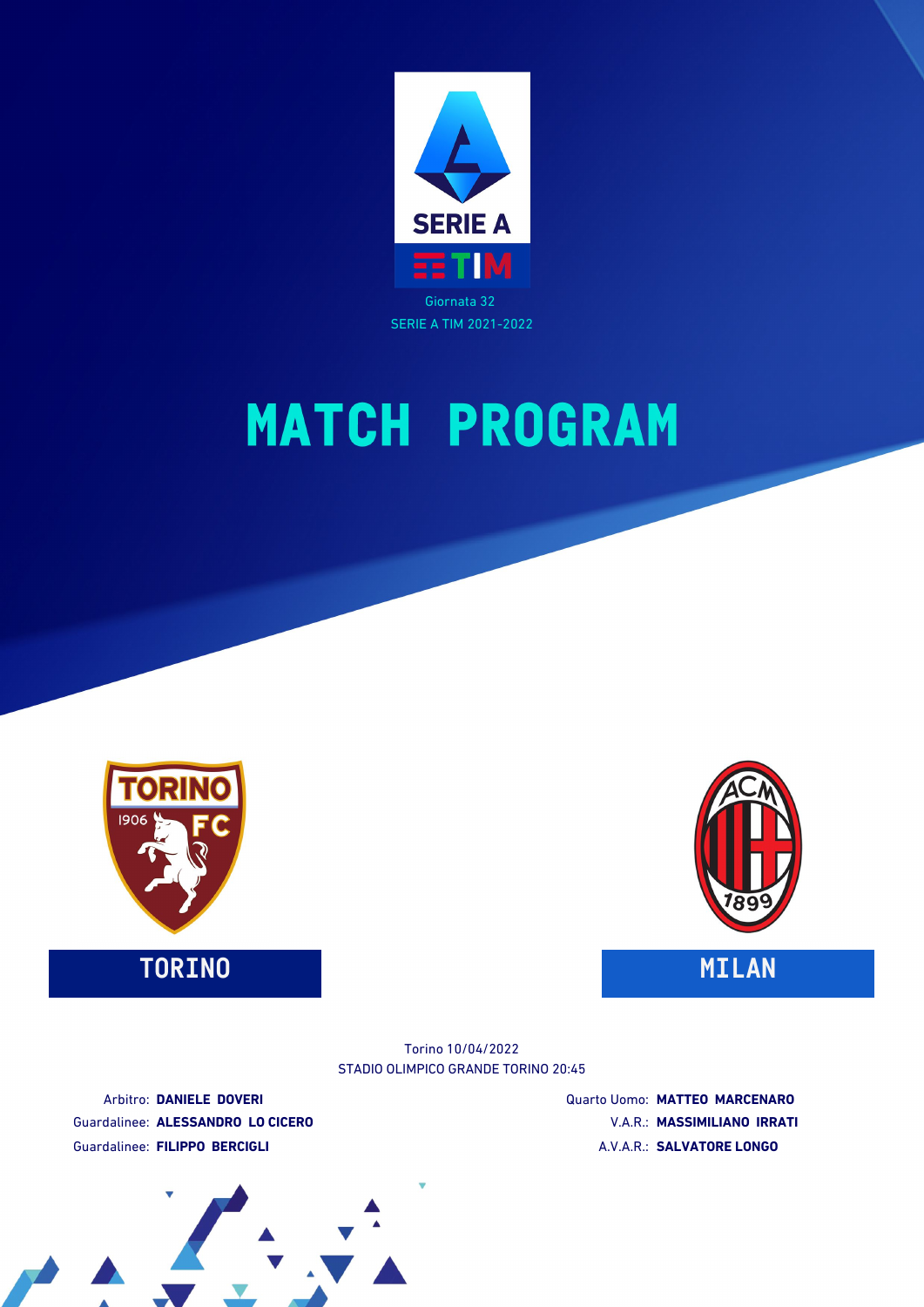



**TORINO MILAN**



STADIO OLIMPICO GRANDE TORINO 20:45 Torino 10/04/2022

Arbitro: **DANIELE DOVERI** Guardalinee: **ALESSANDRO LO CICERO** Guardalinee: **FILIPPO BERCIGLI**

Quarto Uomo: **MATTEO MARCENARO** V.A.R.: **MASSIMILIANO IRRATI** A.V.A.R.: **SALVATORE LONGO**

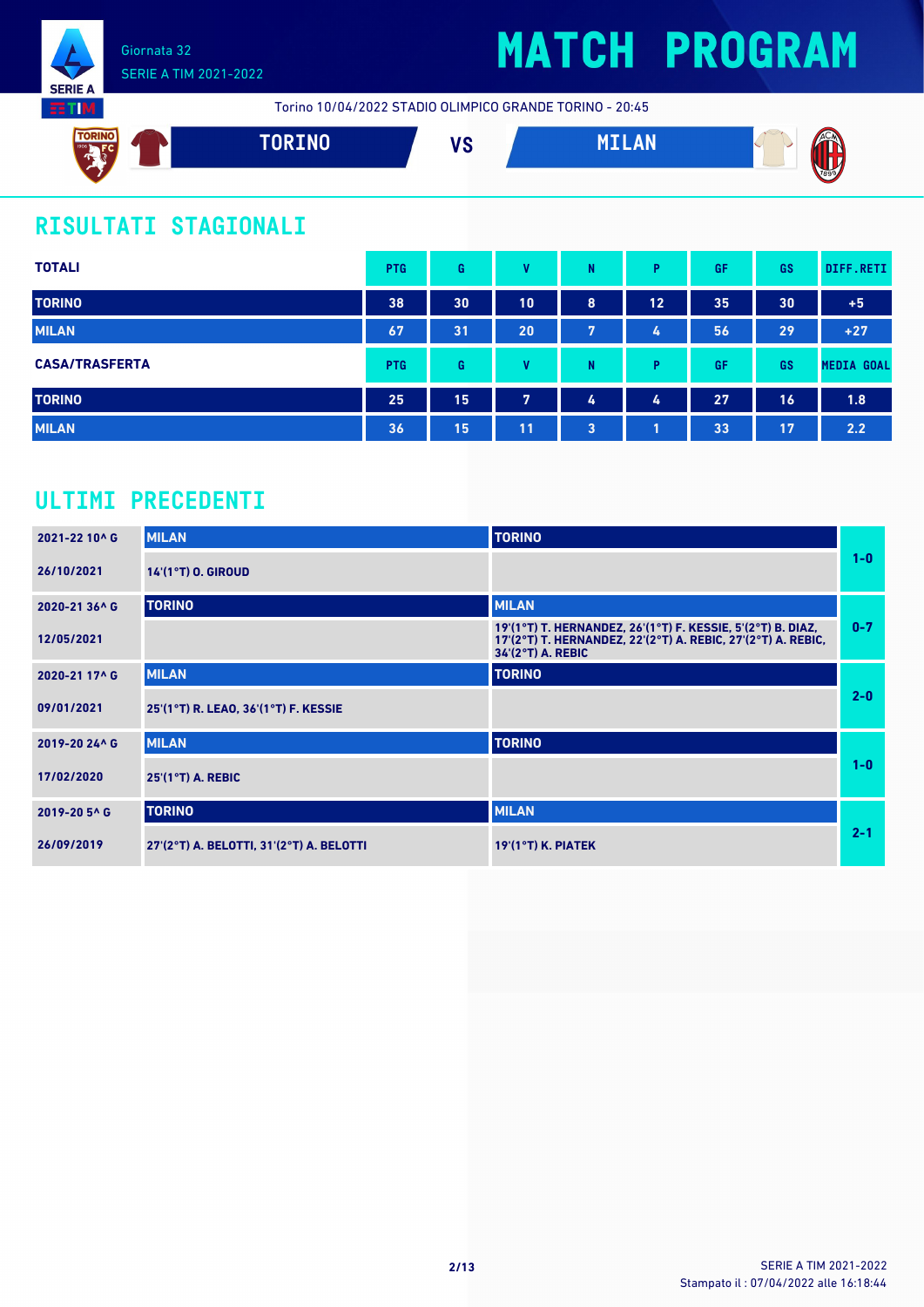

## SERIE A TIM 2021-2022

# **MATCH PROGRAM**

Torino 10/04/2022 STADIO OLIMPICO GRANDE TORINO - 20:45



## **RISULTATI STAGIONALI**

| <b>TOTALI</b>         | <b>PTG</b> | G  | v  | N              | P. | GF | <b>GS</b> | DIFF.RETI         |
|-----------------------|------------|----|----|----------------|----|----|-----------|-------------------|
| <b>TORINO</b>         | 38         | 30 | 10 | 8              | 12 | 35 | 30        | $+5$              |
| <b>MILAN</b>          | 67         | 31 | 20 | 7              | 4  | 56 | 29        | $+27$             |
| <b>CASA/TRASFERTA</b> | <b>PTG</b> | G  | v  | N              | Þ  | GF | <b>GS</b> | <b>MEDIA GOAL</b> |
| <b>TORINO</b>         | 25         | 15 | 7  | 4              | 4  | 27 | 16        | 1.8               |
| <b>MILAN</b>          | 36         | 15 | 11 | $\overline{3}$ |    | 33 | 17        | 2.2               |

### **ULTIMI PRECEDENTI**

| 2021-22 10^ G | <b>MILAN</b>                             | <b>TORINO</b>                                                                                                                                    |         |
|---------------|------------------------------------------|--------------------------------------------------------------------------------------------------------------------------------------------------|---------|
| 26/10/2021    | 14'(1°T) O. GIROUD                       |                                                                                                                                                  | $1-0$   |
| 2020-21 36^ G | <b>TORINO</b>                            | <b>MILAN</b>                                                                                                                                     |         |
| 12/05/2021    |                                          | 19'(1°T) T. HERNANDEZ, 26'(1°T) F. KESSIE, 5'(2°T) B. DIAZ,<br>17'(2°T) T. HERNANDEZ, 22'(2°T) A. REBIC, 27'(2°T) A. REBIC,<br>34'(2°T) A. REBIC | $0 - 7$ |
| 2020-21 17^ G | <b>MILAN</b>                             | <b>TORINO</b>                                                                                                                                    |         |
| 09/01/2021    | 25'(1°T) R. LEAO, 36'(1°T) F. KESSIE     |                                                                                                                                                  | $2 - 0$ |
| 2019-20 24^ G | <b>MILAN</b>                             | <b>TORINO</b>                                                                                                                                    |         |
| 17/02/2020    | $25'(1°T)$ A. REBIC                      |                                                                                                                                                  | $1 - 0$ |
| 2019-20 5^ G  | <b>TORINO</b>                            | <b>MILAN</b>                                                                                                                                     |         |
| 26/09/2019    | 27'(2°T) A. BELOTTI, 31'(2°T) A. BELOTTI | $19'(1°T)$ K. PIATEK                                                                                                                             | $2 - 1$ |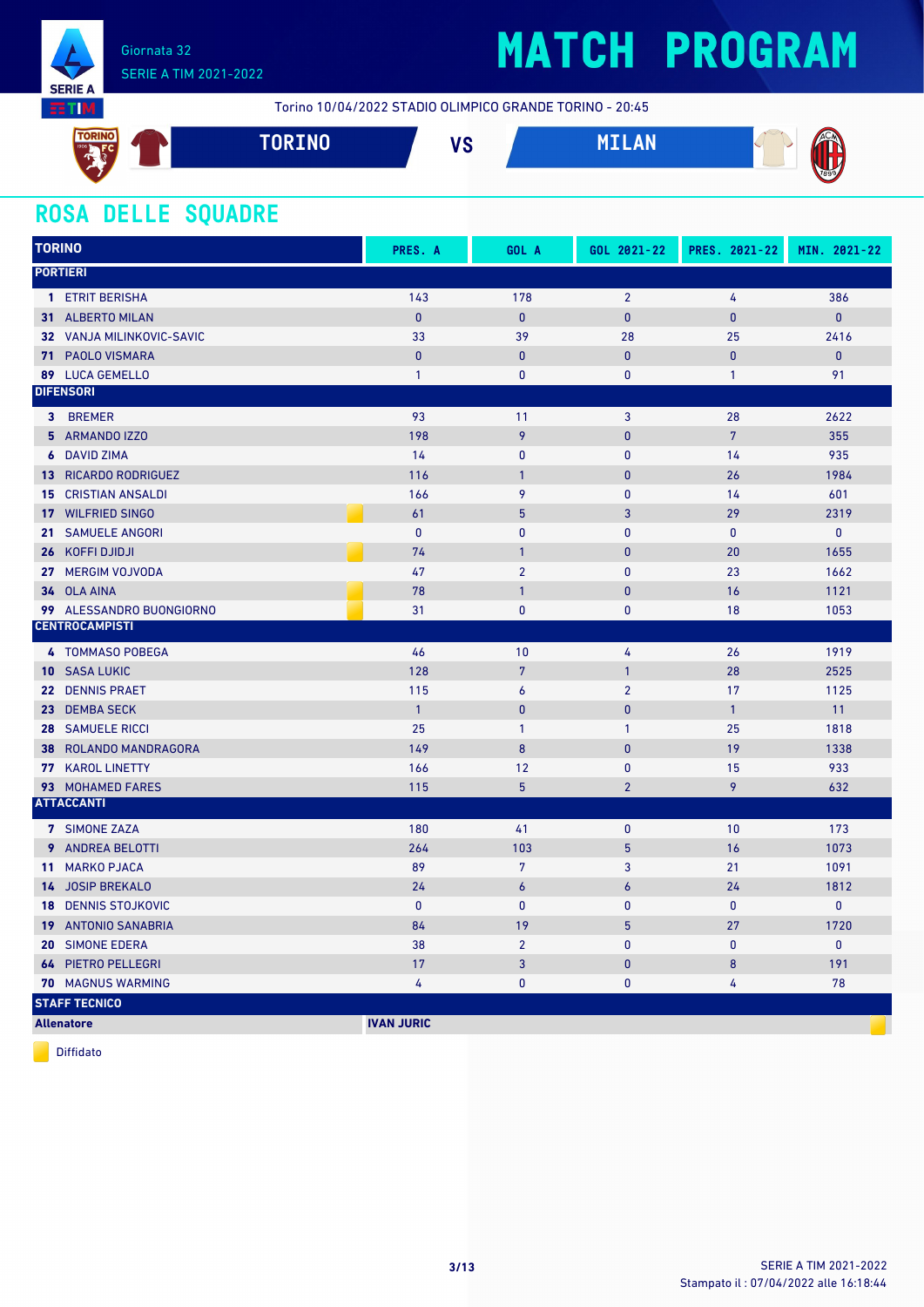

# **MATCH PROGRAM**

Torino 10/04/2022 STADIO OLIMPICO GRANDE TORINO - 20:45



### **ROSA DELLE SQUADRE**

| <b>TORINO</b> |                             | PRES. A           | GOL A            | GOL 2021-22    | PRES. 2021-22  | MIN. 2021-22 |
|---------------|-----------------------------|-------------------|------------------|----------------|----------------|--------------|
|               | <b>PORTIERI</b>             |                   |                  |                |                |              |
|               | 1 ETRIT BERISHA             | 143               | 178              | $\overline{2}$ | 4              | 386          |
|               | 31 ALBERTO MILAN            | $\mathbf{0}$      | $\mathbf{0}$     | $\mathbf{0}$   | 0              | $\mathbf{0}$ |
|               | 32 VANJA MILINKOVIC-SAVIC   | 33                | 39               | 28             | 25             | 2416         |
|               | 71 PAOLO VISMARA            | $\mathbf{0}$      | $\mathbf{0}$     | $\mathbf{0}$   | $\overline{0}$ | $\mathbf{0}$ |
|               | 89 LUCA GEMELLO             | $\mathbf{1}$      | $\pmb{0}$        | $\pmb{0}$      | $\mathbf{1}$   | 91           |
|               | <b>DIFENSORI</b>            |                   |                  |                |                |              |
|               | 3 BREMER                    | 93                | 11               | $\overline{3}$ | 28             | 2622         |
|               | 5 ARMANDO IZZO              | 198               | 9                | $\pmb{0}$      | $\overline{7}$ | 355          |
|               | <b>6</b> DAVID ZIMA         | 14                | $\pmb{0}$        | $\pmb{0}$      | 14             | 935          |
|               | <b>13 RICARDO RODRIGUEZ</b> | 116               | $\mathbf{1}$     | $\pmb{0}$      | 26             | 1984         |
|               | <b>15 CRISTIAN ANSALDI</b>  | 166               | 9                | $\mathbf{0}$   | 14             | 601          |
|               | 17 WILFRIED SINGO           | 61                | $5\phantom{.0}$  | 3              | 29             | 2319         |
|               | 21 SAMUELE ANGORI           | $\mathbf{0}$      | $\mathbf{0}$     | $\mathbf{0}$   | $\pmb{0}$      | $\pmb{0}$    |
|               | 26 KOFFI DJIDJI             | 74                | $\overline{1}$   | $\mathbf{0}$   | 20             | 1655         |
|               | 27 MERGIM VOJVODA           | 47                | $\overline{2}$   | $\pmb{0}$      | 23             | 1662         |
|               | 34 OLA AINA                 | 78                | $\overline{1}$   | $\pmb{0}$      | 16             | 1121         |
|               | 99 ALESSANDRO BUONGIORNO    | 31                | $\mathbf{0}$     | $\mathbf{0}$   | 18             | 1053         |
|               | <b>CENTROCAMPISTI</b>       |                   |                  |                |                |              |
|               | 4 TOMMASO POBEGA            | 46                | 10               | 4              | 26             | 1919         |
|               | 10 SASA LUKIC               | 128               | $\overline{7}$   | $\mathbf{1}$   | 28             | 2525         |
|               | 22 DENNIS PRAET             | 115               | $\boldsymbol{6}$ | $\overline{2}$ | 17             | 1125         |
|               | 23 DEMBA SECK               | $\mathbf{1}$      | $\pmb{0}$        | $\pmb{0}$      | $\mathbf{1}$   | 11           |
|               | <b>28 SAMUELE RICCI</b>     | 25                | $\mathbf{1}$     | $\mathbf{1}$   | 25             | 1818         |
|               | 38 ROLANDO MANDRAGORA       | 149               | 8                | $\mathbf{0}$   | 19             | 1338         |
|               | 77 KAROL LINETTY            | 166               | 12               | 0              | 15             | 933          |
|               | 93 MOHAMED FARES            | 115               | $5\phantom{.0}$  | $\overline{2}$ | 9              | 632          |
|               | <b>ATTACCANTI</b>           |                   |                  |                |                |              |
|               | 7 SIMONE ZAZA               | 180               | 41               | $\mathbf 0$    | 10             | 173          |
|               | <b>9</b> ANDREA BELOTTI     | 264               | 103              | $5\phantom{.}$ | 16             | 1073         |
|               | 11 MARKO PJACA              | 89                | $7\phantom{.}$   | 3              | 21             | 1091         |
|               | 14 JOSIP BREKALO            | 24                | $\epsilon$       | 6              | 24             | 1812         |
|               | <b>18 DENNIS STOJKOVIC</b>  | $\mathbf{0}$      | $\mathbf{0}$     | $\mathbf 0$    | $\mathbf 0$    | 0            |
|               | 19 ANTONIO SANABRIA         | 84                | 19               | $5\phantom{.}$ | 27             | 1720         |
|               | 20 SIMONE EDERA             | 38                | $\overline{2}$   | $\mathbf{0}$   | $\mathbf{0}$   | $\mathbf{0}$ |
|               | <b>64 PIETRO PELLEGRI</b>   | 17                | $\overline{3}$   | $\pmb{0}$      | 8              | 191          |
|               | 70 MAGNUS WARMING           | 4                 | $\pmb{0}$        | 0              | 4              | 78           |
|               | <b>STAFF TECNICO</b>        |                   |                  |                |                |              |
|               | <b>Allenatore</b>           | <b>IVAN JURIC</b> |                  |                |                |              |

Diffidato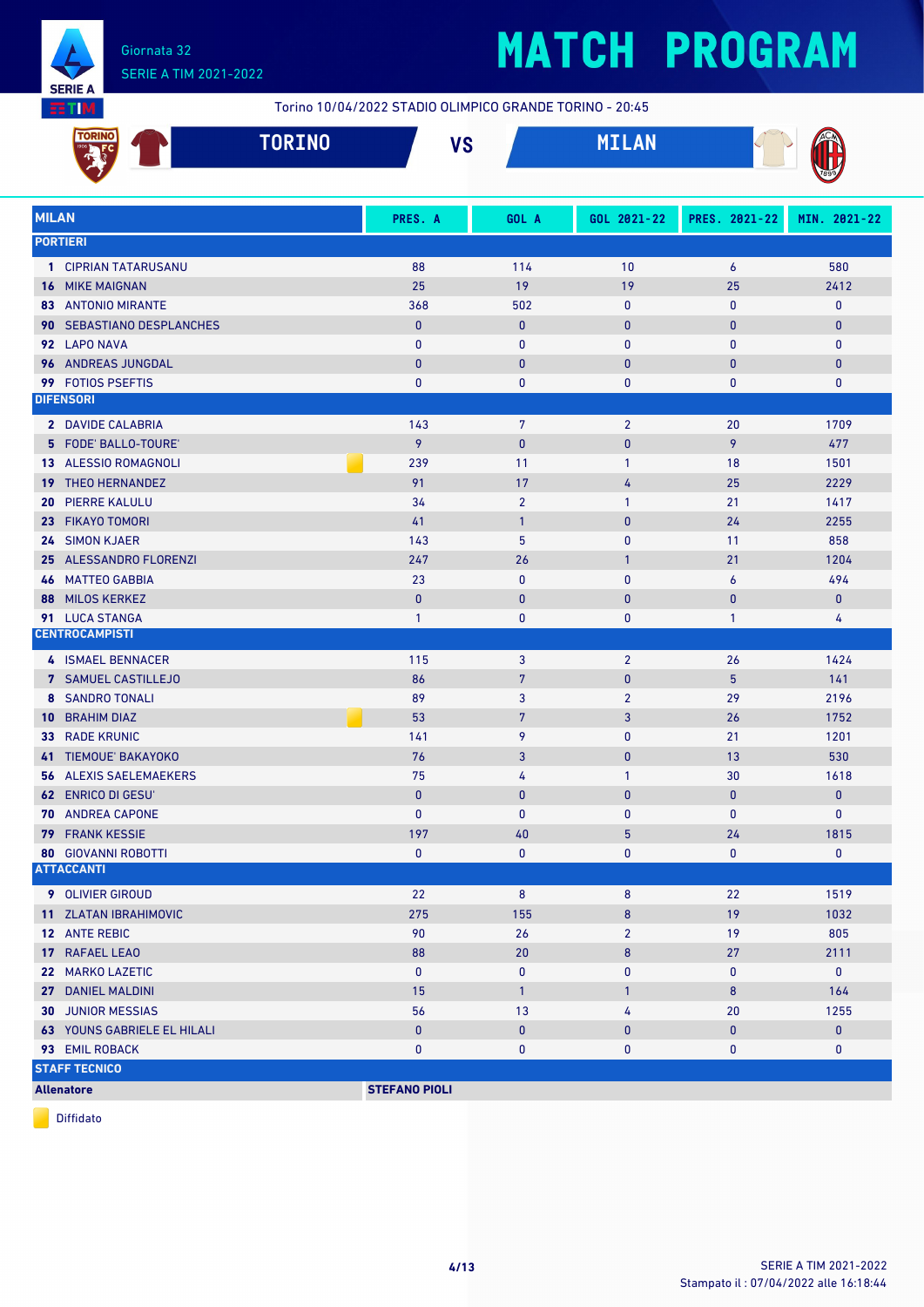

Torino 10/04/2022 STADIO OLIMPICO GRANDE TORINO - 20:45

|              | <b>TORINO</b><br><b>TORINO</b>     |                      | <b>VS</b>       | <b>MILAN</b>    |                  |              |
|--------------|------------------------------------|----------------------|-----------------|-----------------|------------------|--------------|
| <b>MILAN</b> |                                    | PRES. A              | GOL A           | GOL 2021-22     | PRES. 2021-22    | MIN. 2021-22 |
|              | <b>PORTIERI</b>                    |                      |                 |                 |                  |              |
|              | 1 CIPRIAN TATARUSANU               | 88                   | 114             | 10              | $\boldsymbol{6}$ | 580          |
|              | <b>16 MIKE MAIGNAN</b>             | 25                   | 19              | 19              | 25               | 2412         |
|              | <b>83 ANTONIO MIRANTE</b>          | 368                  | 502             | 0               | $\pmb{0}$        | $\mathbf 0$  |
|              | 90 SEBASTIANO DESPLANCHES          | $\mathbf{0}$         | $\mathbf{0}$    | $\mathbf 0$     | $\bf{0}$         | $\bf{0}$     |
|              | 92 LAPO NAVA                       | $\mathbf{0}$         | $\bf{0}$        | $\mathbf{0}$    | $\mathbf{0}$     | $\mathbf 0$  |
|              | 96 ANDREAS JUNGDAL                 | $\mathbf{0}$         | $\bf{0}$        | $\mathbf 0$     | $\bf{0}$         | $\mathbf{0}$ |
|              | 99 FOTIOS PSEFTIS                  | 0                    | 0               | 0               | $\bf{0}$         | 0            |
|              | <b>DIFENSORI</b>                   |                      |                 |                 |                  |              |
|              | 2 DAVIDE CALABRIA                  | 143                  | $\overline{7}$  | $\overline{2}$  | 20               | 1709         |
|              | 5 FODE' BALLO-TOURE'               | 9                    | $\bf{0}$        | $\mathbf 0$     | 9                | 477          |
|              | 13 ALESSIO ROMAGNOLI               | 239                  | 11              | $\mathbf{1}$    | 18               | 1501         |
|              | 19 THEO HERNANDEZ                  | 91                   | 17              | 4               | 25               | 2229         |
| 20.          | <b>PIERRE KALULU</b>               | 34                   | $\overline{2}$  | $\mathbf{1}$    | 21               | 1417         |
| 23.          | <b>FIKAYO TOMORI</b>               | 41                   | $\mathbf{1}$    | $\mathbf{0}$    | 24               | 2255         |
|              | 24 SIMON KJAER                     | 143                  | 5               | 0               | 11               | 858          |
|              | 25 ALESSANDRO FLORENZI             | 247                  | 26              | $\mathbf{1}$    | 21               | 1204         |
|              | <b>46 MATTEO GABBIA</b>            | 23                   | $\bf{0}$        | $\mathbf{0}$    | 6                | 494          |
| 88           | <b>MILOS KERKEZ</b>                | $\mathbf{0}$         | $\mathbf{0}$    | 0               | $\bf{0}$         | $\pmb{0}$    |
|              | 91 LUCA STANGA                     | $\mathbf{1}$         | 0               | 0               | $\mathbf{1}$     | 4            |
|              | <b>CENTROCAMPISTI</b>              |                      |                 |                 |                  |              |
|              | 4 ISMAEL BENNACER                  | 115                  | 3               | $\overline{2}$  | 26               | 1424         |
|              | 7 SAMUEL CASTILLEJO                | 86                   | $7\phantom{.0}$ | 0               | 5                | 141          |
|              | <b>8 SANDRO TONALI</b>             | 89                   | 3               | $\overline{2}$  | 29               | 2196         |
| $10-1$       | <b>BRAHIM DIAZ</b>                 | 53                   | $\overline{7}$  | 3               | 26               | 1752         |
|              | 33 RADE KRUNIC                     | 141                  | 9               | 0               | 21               | 1201         |
|              | 41 TIEMOUE' BAKAYOKO               | 76                   | 3               | 0               | 13               | 530          |
|              | <b>56 ALEXIS SAELEMAEKERS</b>      | 75                   | 4               | $\mathbf{1}$    | 30               | 1618         |
|              | <b>62 ENRICO DI GESU</b>           | $\mathbf{0}$         | $\mathbf{0}$    | 0               | $\pmb{0}$        | $\pmb{0}$    |
|              | 70 ANDREA CAPONE                   | 0                    | $\pmb{0}$       | 0               | $\pmb{0}$        | $\mathbf 0$  |
|              | <b>79 FRANK KESSIE</b>             | 197                  | 40              | $5\phantom{.0}$ | 24               | 1815         |
|              | <b>80 GIOVANNI ROBOTTI</b>         | 0                    | 0               | 0               | $\mathbf 0$      | 0            |
|              | <b>ATTACCANTI</b>                  |                      |                 |                 |                  |              |
|              | 9 OLIVIER GIROUD                   | 22                   | $\bf 8$         | 8               | 22               | 1519         |
|              | 11 ZLATAN IBRAHIMOVIC              | 275                  | 155             | 8               | 19               | 1032         |
|              | 12 ANTE REBIC                      | 90                   | 26              | $\overline{2}$  | 19               | 805          |
|              | 17 RAFAEL LEAO                     | 88                   | $20\,$          | 8               | 27               | 2111         |
|              | 22 MARKO LAZETIC                   | $\pmb{0}$            | 0               | 0               | 0                | $\pmb{0}$    |
|              | 27 DANIEL MALDINI                  | 15                   | $\mathbf{1}$    | $\mathbf{1}$    | 8                | 164          |
|              | <b>30 JUNIOR MESSIAS</b>           | 56                   | 13              | 4               | 20               | 1255         |
|              | <b>63 YOUNS GABRIELE EL HILALI</b> | $\pmb{0}$            | $\pmb{0}$       | 0               | $\mathbf 0$      | $\bf{0}$     |
|              | 93 EMIL ROBACK                     | 0                    | $\pmb{0}$       | $\mathbf 0$     | $\mathbf 0$      | $\mathbf 0$  |
|              | <b>STAFF TECNICO</b>               |                      |                 |                 |                  |              |
|              | <b>Allenatore</b>                  | <b>STEFANO PIOLI</b> |                 |                 |                  |              |

Diffidato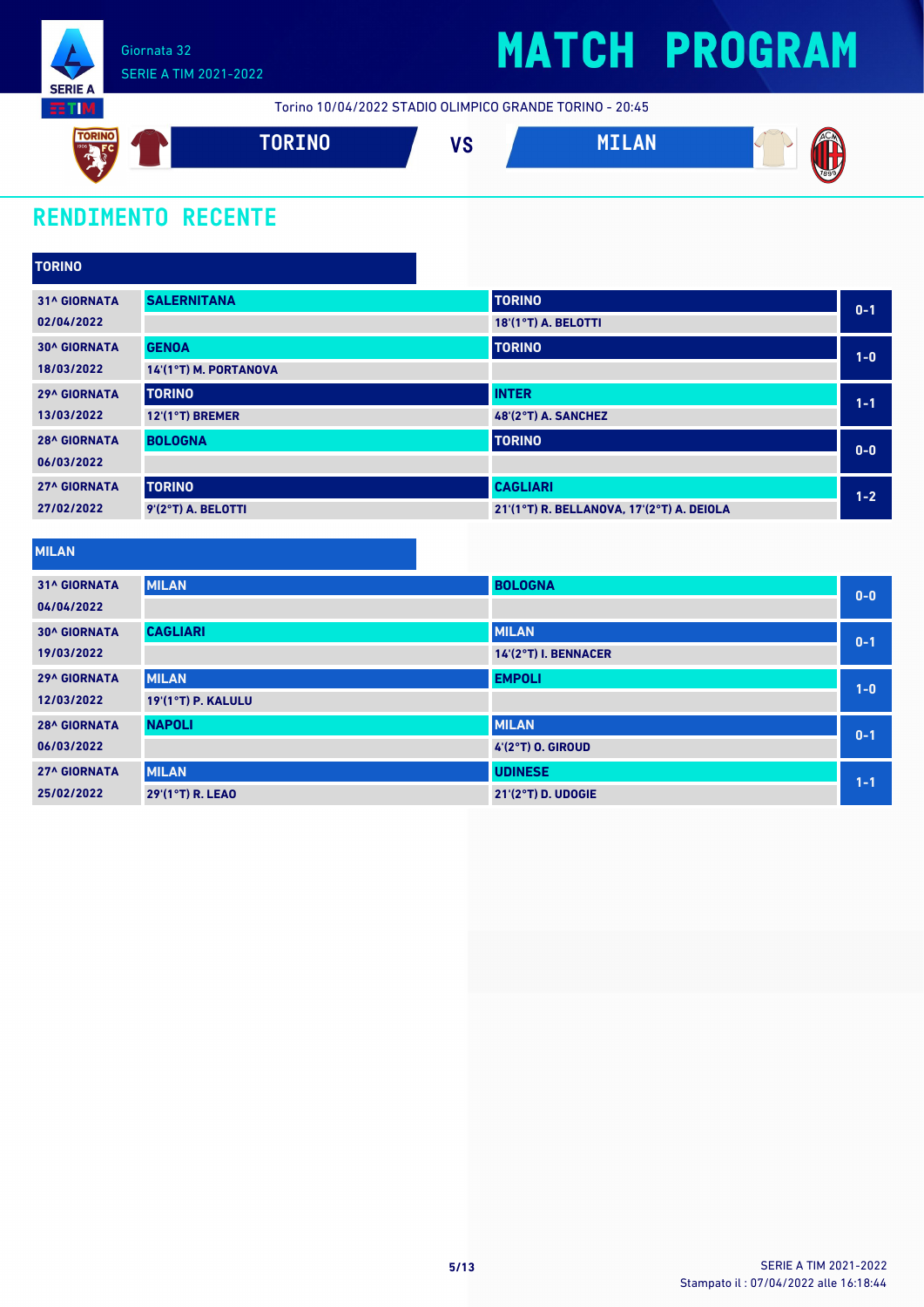

# **MATCH PROGRAM**

Torino 10/04/2022 STADIO OLIMPICO GRANDE TORINO - 20:45



### **RENDIMENTO RECENTE**

| <b>TORINO</b>       |                       |                                           |         |
|---------------------|-----------------------|-------------------------------------------|---------|
| <b>31^ GIORNATA</b> | <b>SALERNITANA</b>    | <b>TORINO</b>                             | $0 - 1$ |
| 02/04/2022          |                       | 18'(1°T) A. BELOTTI                       |         |
| <b>30^ GIORNATA</b> | <b>GENOA</b>          | <b>TORINO</b>                             | $1-0$   |
| 18/03/2022          | 14'(1°T) M. PORTANOVA |                                           |         |
| <b>29^ GIORNATA</b> | <b>TORINO</b>         | <b>INTER</b>                              | $1 - 1$ |
| 13/03/2022          | 12'(1°T) BREMER       | 48'(2°T) A. SANCHEZ                       |         |
| <b>28^ GIORNATA</b> | <b>BOLOGNA</b>        | <b>TORINO</b>                             | $0-0$   |
| 06/03/2022          |                       |                                           |         |
| <b>27^ GIORNATA</b> | <b>TORINO</b>         | <b>CAGLIARI</b>                           | $1 - 2$ |
| 27/02/2022          | 9'(2°T) A. BELOTTI    | 21'(1°T) R. BELLANOVA, 17'(2°T) A. DEIOLA |         |

| <b>31^ GIORNATA</b> | <b>MILAN</b>              | <b>BOLOGNA</b>       | $0-0$   |
|---------------------|---------------------------|----------------------|---------|
| 04/04/2022          |                           |                      |         |
| <b>30^ GIORNATA</b> | <b>CAGLIARI</b>           | <b>MILAN</b>         | $0 - 1$ |
| 19/03/2022          |                           | 14'(2°T) I. BENNACER |         |
| <b>29^ GIORNATA</b> | <b>MILAN</b>              | <b>EMPOLI</b>        | $1-0$   |
| 12/03/2022          | <b>19'(1°T) P. KALULU</b> |                      |         |
| <b>28^ GIORNATA</b> | <b>NAPOLI</b>             | <b>MILAN</b>         | $0 - 1$ |
| 06/03/2022          |                           | 4'(2°T) O. GIROUD    |         |
| <b>27^ GIORNATA</b> | <b>MILAN</b>              | <b>UDINESE</b>       | $1 - 1$ |
| 25/02/2022          | 29'(1°T) R. LEAO          | 21'(2°T) D. UDOGIE   |         |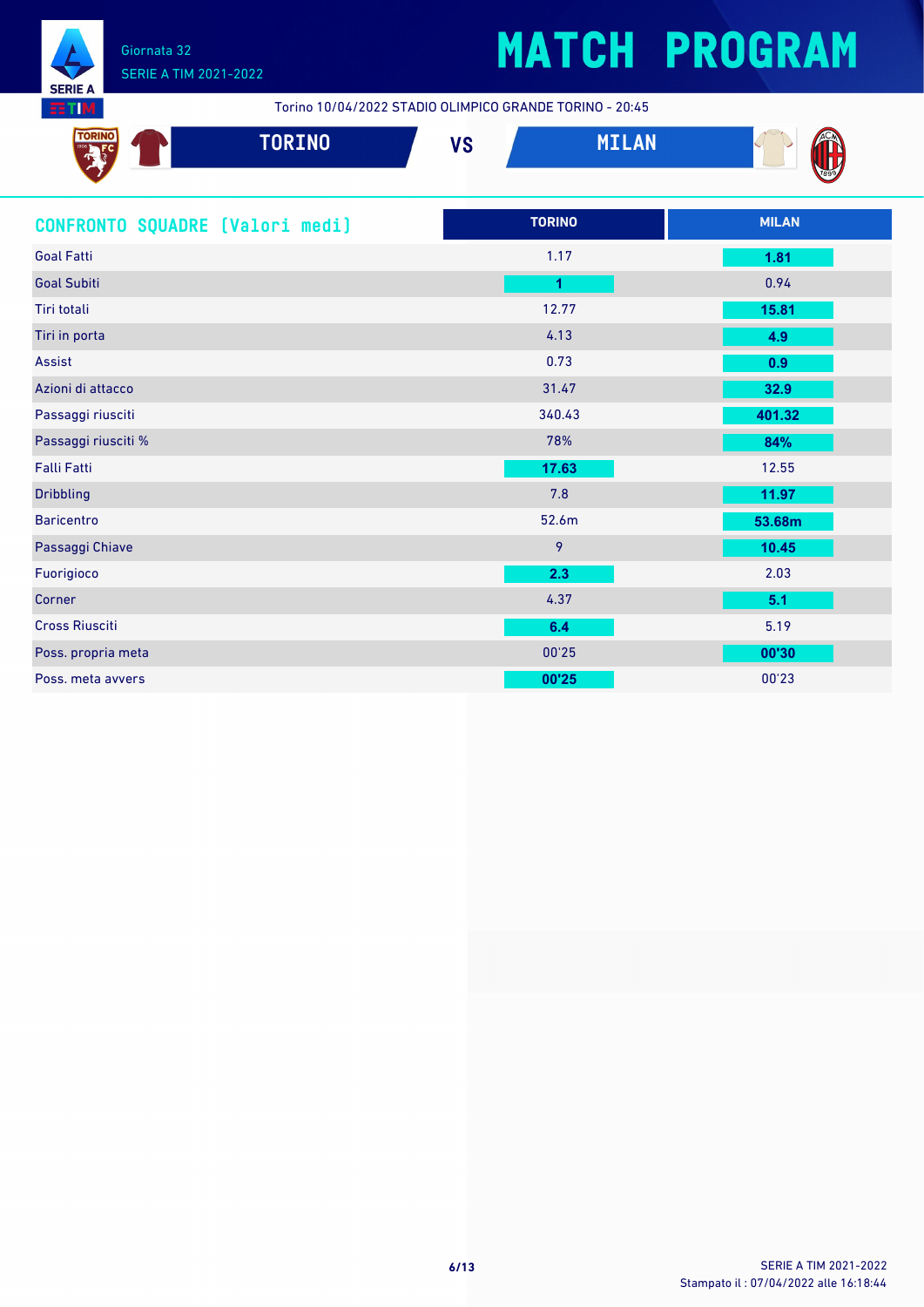

Torino 10/04/2022 STADIO OLIMPICO GRANDE TORINO - 20:45

| - 13 | TORINO | $\mathbf{u}$<br>V Q | <b>ALC</b><br>$11 + 111$ | V.   |
|------|--------|---------------------|--------------------------|------|
|      |        |                     |                          | 7899 |

| CONFRONTO SQUADRE [Valori medi] | <b>TORINO</b> | <b>MILAN</b> |
|---------------------------------|---------------|--------------|
| <b>Goal Fatti</b>               | 1.17          | 1.81         |
| <b>Goal Subiti</b>              | 1             | 0.94         |
| Tiri totali                     | 12.77         | 15.81        |
| Tiri in porta                   | 4.13          | 4.9          |
| Assist                          | 0.73          | 0.9          |
| Azioni di attacco               | 31.47         | 32.9         |
| Passaggi riusciti               | 340.43        | 401.32       |
| Passaggi riusciti %             | 78%           | 84%          |
| <b>Falli Fatti</b>              | 17.63         | 12.55        |
| <b>Dribbling</b>                | 7.8           | 11.97        |
| <b>Baricentro</b>               | 52.6m         | 53.68m       |
| Passaggi Chiave                 | 9             | 10.45        |
| Fuorigioco                      | 2.3           | 2.03         |
| Corner                          | 4.37          | 5.1          |
| <b>Cross Riusciti</b>           | 6.4           | 5.19         |
| Poss. propria meta              | 00'25         | 00'30        |
| Poss, meta avvers               | 00'25         | 00'23        |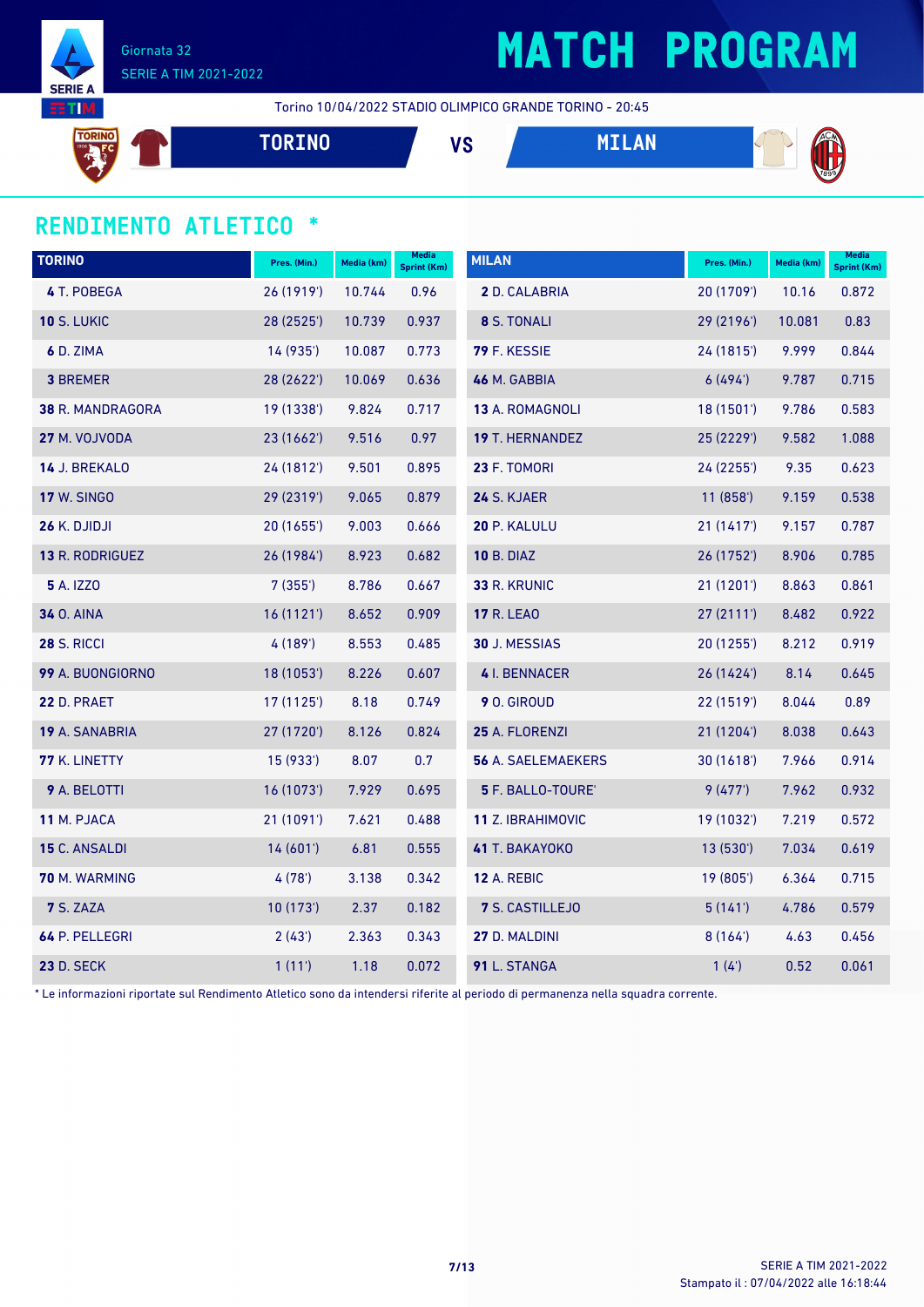

# **MATCH PROGRAM**

Torino 10/04/2022 STADIO OLIMPICO GRANDE TORINO - 20:45

**TORINO VS MILAN**

### **RENDIMENTO ATLETICO \***

| <b>TORINO</b>      | Pres. (Min.) | Media (km) | <b>Media</b><br><b>Sprint (Km)</b> | <b>MILAN</b>              | Pres. (Min.) | Media (km) | <b>Media</b><br>Sprint (Km) |
|--------------------|--------------|------------|------------------------------------|---------------------------|--------------|------------|-----------------------------|
| 4 T. POBEGA        | 26 (1919')   | 10.744     | 0.96                               | 2 D. CALABRIA             | 20 (1709')   | 10.16      | 0.872                       |
| <b>10 S. LUKIC</b> | 28 (2525')   | 10.739     | 0.937                              | 8 S. TONALI               | 29 (2196')   | 10.081     | 0.83                        |
| 6 D. ZIMA          | 14 (935')    | 10.087     | 0.773                              | 79 F. KESSIE              | 24 (1815')   | 9.999      | 0.844                       |
| <b>3 BREMER</b>    | 28 (2622')   | 10.069     | 0.636                              | 46 M. GABBIA              | 6(494)       | 9.787      | 0.715                       |
| 38 R. MANDRAGORA   | 19 (1338')   | 9.824      | 0.717                              | 13 A. ROMAGNOLI           | 18(1501)     | 9.786      | 0.583                       |
| 27 M. VOJVODA      | 23 (1662')   | 9.516      | 0.97                               | 19 T. HERNANDEZ           | 25 (2229')   | 9.582      | 1.088                       |
| 14 J. BREKALO      | 24 (1812')   | 9.501      | 0.895                              | 23 F. TOMORI              | 24 (2255')   | 9.35       | 0.623                       |
| <b>17 W. SINGO</b> | 29 (2319')   | 9.065      | 0.879                              | 24 S. KJAER               | 11(858)      | 9.159      | 0.538                       |
| 26 K. DJIDJI       | 20 (1655')   | 9.003      | 0.666                              | 20 P. KALULU              | 21(1417)     | 9.157      | 0.787                       |
| 13 R. RODRIGUEZ    | 26 (1984')   | 8.923      | 0.682                              | <b>10 B. DIAZ</b>         | 26 (1752')   | 8.906      | 0.785                       |
| <b>5</b> A. IZZO   | 7(355)       | 8.786      | 0.667                              | 33 R. KRUNIC              | 21(1201)     | 8.863      | 0.861                       |
| <b>34 O. AINA</b>  | 16(1121)     | 8.652      | 0.909                              | <b>17 R. LEAO</b>         | 27(2111)     | 8.482      | 0.922                       |
| <b>28 S. RICCI</b> | 4 (189')     | 8.553      | 0.485                              | 30 J. MESSIAS             | 20(1255)     | 8.212      | 0.919                       |
| 99 A. BUONGIORNO   | 18 (1053')   | 8.226      | 0.607                              | 4 I. BENNACER             | 26(1424)     | 8.14       | 0.645                       |
| 22 D. PRAET        | 17 (1125')   | 8.18       | 0.749                              | 9 O. GIROUD               | 22(1519)     | 8.044      | 0.89                        |
| 19 A. SANABRIA     | 27 (1720')   | 8.126      | 0.824                              | 25 A. FLORENZI            | 21(1204)     | 8.038      | 0.643                       |
| 77 K. LINETTY      | 15 (933')    | 8.07       | 0.7                                | <b>56 A. SAELEMAEKERS</b> | 30(1618)     | 7.966      | 0.914                       |
| 9 A. BELOTTI       | 16 (1073')   | 7.929      | 0.695                              | 5 F. BALLO-TOURE'         | 9(477)       | 7.962      | 0.932                       |
| 11 M. PJACA        | 21(1091)     | 7.621      | 0.488                              | 11 Z. IBRAHIMOVIC         | 19 (1032')   | 7.219      | 0.572                       |
| 15 C. ANSALDI      | 14(601)      | 6.81       | 0.555                              | 41 T. BAKAYOKO            | 13(530)      | 7.034      | 0.619                       |
| 70 M. WARMING      | 4(78)        | 3.138      | 0.342                              | <b>12 A. REBIC</b>        | 19 (805')    | 6.364      | 0.715                       |
| 7 S. ZAZA          | 10(173)      | 2.37       | 0.182                              | 7 S. CASTILLEJO           | 5(141)       | 4.786      | 0.579                       |
| 64 P. PELLEGRI     | 2(43')       | 2.363      | 0.343                              | 27 D. MALDINI             | 8(164)       | 4.63       | 0.456                       |
| <b>23 D. SECK</b>  | 1(11')       | 1.18       | 0.072                              | 91 L. STANGA              | 1(4)         | 0.52       | 0.061                       |

\* Le informazioni riportate sul Rendimento Atletico sono da intendersi riferite al periodo di permanenza nella squadra corrente.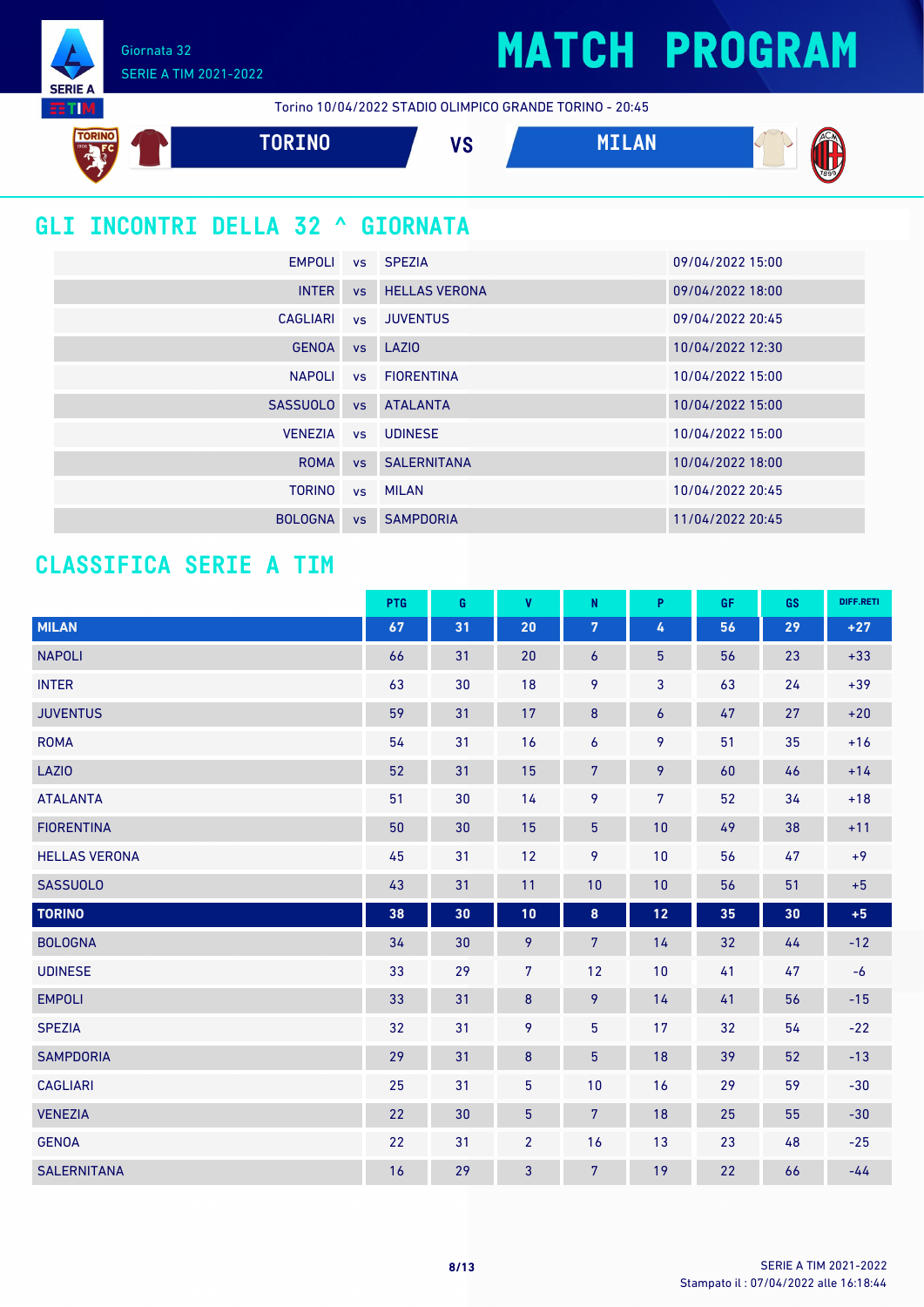Giornata 32 SERIE A TIM 2021-2022

**SERIE A TIM** 

Torino 10/04/2022 STADIO OLIMPICO GRANDE TORINO - 20:45



### **GLI INCONTRI DELLA 32 ^ GIORNATA**

|                 |           | EMPOLI vs SPEZIA        | 09/04/2022 15:00 |
|-----------------|-----------|-------------------------|------------------|
| <b>INTER</b>    |           | <b>vs</b> HELLAS VERONA | 09/04/2022 18:00 |
| CAGLIARI        |           | vs JUVENTUS             | 09/04/2022 20:45 |
| <b>GENOA</b>    |           | vs LAZIO                | 10/04/2022 12:30 |
| <b>NAPOLI</b>   |           | vs FIORENTINA           | 10/04/2022 15:00 |
| <b>SASSUOLO</b> | <b>VS</b> | <b>ATALANTA</b>         | 10/04/2022 15:00 |
| <b>VENEZIA</b>  |           | vs UDINESE              | 10/04/2022 15:00 |
| <b>ROMA</b>     |           | <b>vs</b> SALERNITANA   | 10/04/2022 18:00 |
| <b>TORINO</b>   |           | vs MILAN                | 10/04/2022 20:45 |
| <b>BOLOGNA</b>  | <b>VS</b> | <b>SAMPDORIA</b>        | 11/04/2022 20:45 |

### **CLASSIFICA SERIE A TIM**

|                      | PTG | G  | $\mathbf{V}$   | N                | P.               | GF. | <b>GS</b> | DIFF.RETI |
|----------------------|-----|----|----------------|------------------|------------------|-----|-----------|-----------|
| <b>MILAN</b>         | 67  | 31 | 20             | $\overline{7}$   | 4                | 56  | 29        | $+27$     |
| <b>NAPOLI</b>        | 66  | 31 | 20             | 6                | $5\phantom{.0}$  | 56  | 23        | $+33$     |
| <b>INTER</b>         | 63  | 30 | 18             | 9                | 3                | 63  | 24        | $+39$     |
| <b>JUVENTUS</b>      | 59  | 31 | 17             | $\bf 8$          | $\boldsymbol{6}$ | 47  | 27        | $+20$     |
| <b>ROMA</b>          | 54  | 31 | 16             | 6                | 9                | 51  | 35        | $+16$     |
| <b>LAZIO</b>         | 52  | 31 | 15             | $\overline{7}$   | 9                | 60  | 46        | $+14$     |
| <b>ATALANTA</b>      | 51  | 30 | 14             | 9                | $7\overline{ }$  | 52  | 34        | $+18$     |
| <b>FIORENTINA</b>    | 50  | 30 | 15             | 5 <sup>5</sup>   | 10               | 49  | 38        | $+11$     |
| <b>HELLAS VERONA</b> | 45  | 31 | 12             | 9                | 10               | 56  | 47        | $+9$      |
| <b>SASSUOLO</b>      | 43  | 31 | 11             | 10               | 10               | 56  | 51        | $+5$      |
| <b>TORINO</b>        | 38  | 30 | 10             | $\boldsymbol{8}$ | 12               | 35  | 30        | $+5$      |
| <b>BOLOGNA</b>       | 34  | 30 | 9              | 7 <sup>5</sup>   | 14               | 32  | 44        | $-12$     |
| <b>UDINESE</b>       | 33  | 29 | $\overline{7}$ | 12               | 10               | 41  | 47        | $-6$      |
| <b>EMPOLI</b>        | 33  | 31 | $\bf 8$        | 9                | 14               | 41  | 56        | $-15$     |
| <b>SPEZIA</b>        | 32  | 31 | $\mathbf{9}$   | 5                | 17               | 32  | 54        | $-22$     |
| <b>SAMPDORIA</b>     | 29  | 31 | $\bf 8$        | 5                | 18               | 39  | 52        | $-13$     |
| <b>CAGLIARI</b>      | 25  | 31 | 5              | 10               | 16               | 29  | 59        | $-30$     |
| <b>VENEZIA</b>       | 22  | 30 | $\overline{5}$ | $\overline{7}$   | 18               | 25  | 55        | $-30$     |
| <b>GENOA</b>         | 22  | 31 | $\overline{2}$ | 16               | 13               | 23  | 48        | $-25$     |
| <b>SALERNITANA</b>   | 16  | 29 | 3              | $\overline{7}$   | 19               | 22  | 66        | $-44$     |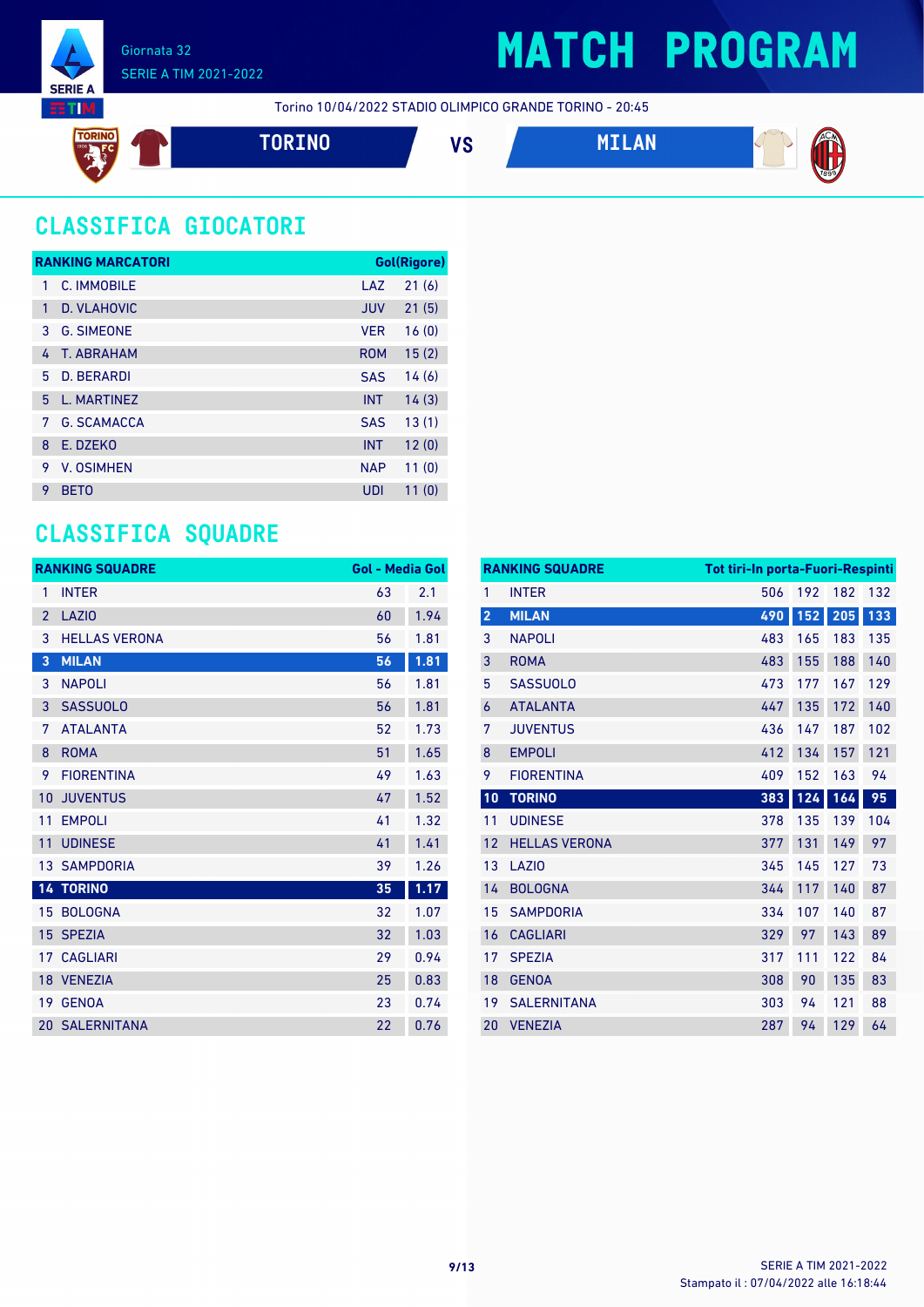

Torino 10/04/2022 STADIO OLIMPICO GRANDE TORINO - 20:45



**TORINO VS MILAN**



### **CLASSIFICA GIOCATORI**

|    | <b>RANKING MARCATORI</b> |            | Gol(Rigore) |
|----|--------------------------|------------|-------------|
| 1  | C. IMMOBILE              | LAZ        | 21(6)       |
| 1  | D. VLAHOVIC              | <b>JUV</b> | 21(5)       |
| 3  | <b>G. SIMEONE</b>        | <b>VFR</b> | 16(0)       |
| 4  | T. ABRAHAM               | <b>ROM</b> | 15(2)       |
| 5  | <b>D. BERARDI</b>        | <b>SAS</b> | 14(6)       |
| 5. | L. MARTINEZ              | <b>INT</b> | 14(3)       |
| 7  | <b>G. SCAMACCA</b>       | <b>SAS</b> | 13(1)       |
| 8  | E. DZEKO                 | <b>INT</b> | 12(0)       |
| 9  | <b>V. OSIMHEN</b>        | <b>NAP</b> | 11(0)       |
| 9  | <b>BETO</b>              | UDI        | 11(0)       |

### **CLASSIFICA SQUADRE**

|                | <b>RANKING SQUADRE</b> | <b>Gol - Media Gol</b> |      |
|----------------|------------------------|------------------------|------|
| 1              | <b>INTER</b>           | 63                     | 2.1  |
| $\overline{2}$ | <b>LAZIO</b>           | 60                     | 1.94 |
| 3              | <b>HELLAS VERONA</b>   | 56                     | 1.81 |
| 3              | <b>MILAN</b>           | 56                     | 1.81 |
| 3              | <b>NAPOLI</b>          | 56                     | 1.81 |
| 3              | <b>SASSUOLO</b>        | 56                     | 1.81 |
| 7              | <b>ATALANTA</b>        | 52                     | 1.73 |
| 8              | <b>ROMA</b>            | 51                     | 1.65 |
| 9              | <b>FIORENTINA</b>      | 49                     | 1.63 |
| 10             | <b>JUVENTUS</b>        | 47                     | 1.52 |
| 11             | <b>EMPOLI</b>          | 41                     | 1.32 |
| 11             | <b>UDINESE</b>         | 41                     | 1.41 |
|                | <b>13 SAMPDORIA</b>    | 39                     | 1.26 |
|                | <b>14 TORINO</b>       | 35                     | 1.17 |
| 15             | <b>BOLOGNA</b>         | 32                     | 1.07 |
| 15             | <b>SPEZIA</b>          | 32                     | 1.03 |
|                | <b>17 CAGLIARI</b>     | 29                     | 0.94 |
|                | 18 VENEZIA             | 25                     | 0.83 |
| 19             | <b>GENOA</b>           | 23                     | 0.74 |
|                | <b>20 SALERNITANA</b>  | 22                     | 0.76 |

|                | <b>RANKING SQUADRE</b> | <b>Tot tiri-In porta-Fuori-Respinti</b> |     |     |     |
|----------------|------------------------|-----------------------------------------|-----|-----|-----|
| 1              | <b>INTER</b>           | 506                                     | 192 | 182 | 132 |
| $\overline{2}$ | <b>MILAN</b>           | 490                                     | 152 | 205 | 133 |
| 3              | <b>NAPOLI</b>          | 483                                     | 165 | 183 | 135 |
| 3              | <b>ROMA</b>            | 483                                     | 155 | 188 | 140 |
| 5              | <b>SASSUOLO</b>        | 473                                     | 177 | 167 | 129 |
| 6              | <b>ATALANTA</b>        | 447                                     | 135 | 172 | 140 |
| 7              | <b>JUVENTUS</b>        | 436                                     | 147 | 187 | 102 |
| 8              | <b>EMPOLI</b>          | 412                                     | 134 | 157 | 121 |
| 9              | <b>FIORENTINA</b>      | 409                                     | 152 | 163 | 94  |
| 10             | <b>TORINO</b>          | 383                                     | 124 | 164 | 95  |
| 11             | <b>UDINESE</b>         | 378                                     | 135 | 139 | 104 |
| 12             | <b>HELLAS VERONA</b>   | 377                                     | 131 | 149 | 97  |
| 13             | LAZI <sub>0</sub>      | 345                                     | 145 | 127 | 73  |
| 14             | <b>BOLOGNA</b>         | 344                                     | 117 | 140 | 87  |
| 15             | <b>SAMPDORIA</b>       | 334                                     | 107 | 140 | 87  |
| 16             | <b>CAGLIARI</b>        | 329                                     | 97  | 143 | 89  |
| 17             | <b>SPEZIA</b>          | 317                                     | 111 | 122 | 84  |
| 18             | <b>GENOA</b>           | 308                                     | 90  | 135 | 83  |
| 19             | <b>SALERNITANA</b>     | 303                                     | 94  | 121 | 88  |
| 20             | <b>VENEZIA</b>         | 287                                     | 94  | 129 | 64  |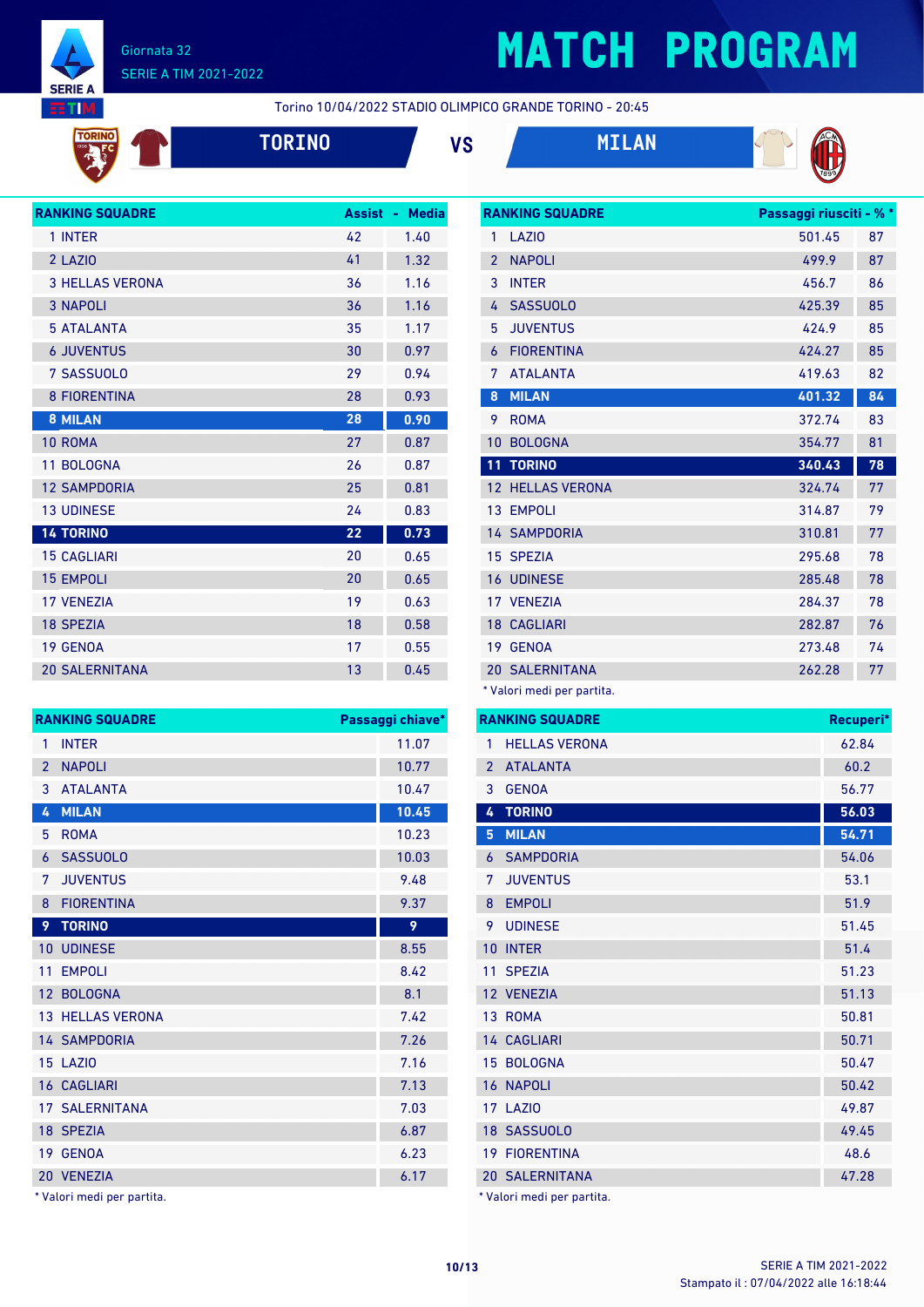

**TORIN** 

#### Giornata 32 SERIE A TIM 2021-2022

# **MATCH PROGRAM**

Torino 10/04/2022 STADIO OLIMPICO GRANDE TORINO - 20:45











| <b>RANKING SQUADRE</b> | <b>Assist</b> | <b>Media</b><br>÷. |
|------------------------|---------------|--------------------|
| 1 INTER                | 42            | 1.40               |
| 2 LAZIO                | 41            | 1.32               |
| <b>3 HELLAS VERONA</b> | 36            | 1.16               |
| <b>3 NAPOLI</b>        | 36            | 1.16               |
| <b>5 ATALANTA</b>      | 35            | 1.17               |
| <b>6 JUVENTUS</b>      | 30            | 0.97               |
| 7 SASSUOLO             | 29            | 0.94               |
| <b>8 FIORENTINA</b>    | 28            | 0.93               |
| <b>8 MILAN</b>         | 28            | 0.90               |
| 10 ROMA                | 27            | 0.87               |
| 11 BOLOGNA             | 26            | 0.87               |
| <b>12 SAMPDORIA</b>    | 25            | 0.81               |
| <b>13 UDINESE</b>      | 24            | 0.83               |
| <b>14 TORINO</b>       | 22            | 0.73               |
| <b>15 CAGLIARI</b>     | 20            | 0.65               |
| <b>15 EMPOLI</b>       | 20            | 0.65               |
| <b>17 VENEZIA</b>      | 19            | 0.63               |
| <b>18 SPEZIA</b>       | 18            | 0.58               |
| <b>19 GENOA</b>        | 17            | 0.55               |
| <b>20 SALERNITANA</b>  | 13            | 0.45               |

| <b>RANKING SQUADRE</b><br>Passaggi chiave*<br><b>INTER</b><br>11.07<br>1<br><b>NAPOLI</b><br>10.77<br>$\mathcal{P}$<br>3<br><b>ATALANTA</b><br>10.47<br><b>MILAN</b><br>10.45<br>4<br><b>ROMA</b><br>10.23<br>5<br><b>SASSUOLO</b><br>10.03<br>6<br><b>JUVENTUS</b><br>9.48<br>7<br><b>FIORENTINA</b><br>9.37<br>8<br><b>TORINO</b><br>9<br>9<br><b>UDINESE</b><br>8.55<br>10<br>11<br><b>EMPOLI</b><br>8.42<br>12 BOLOGNA<br>8.1<br><b>13 HELLAS VERONA</b><br>7.42<br><b>14 SAMPDORIA</b><br>7.26<br><b>15 LAZIO</b><br>7.16<br><b>16 CAGLIARI</b><br>7.13<br><b>17 SALERNITANA</b><br>7.03<br>18 SPEZIA<br>6.87<br>19 GENOA<br>6.23 |  |  |  |  |
|----------------------------------------------------------------------------------------------------------------------------------------------------------------------------------------------------------------------------------------------------------------------------------------------------------------------------------------------------------------------------------------------------------------------------------------------------------------------------------------------------------------------------------------------------------------------------------------------------------------------------------------|--|--|--|--|
|                                                                                                                                                                                                                                                                                                                                                                                                                                                                                                                                                                                                                                        |  |  |  |  |
|                                                                                                                                                                                                                                                                                                                                                                                                                                                                                                                                                                                                                                        |  |  |  |  |
|                                                                                                                                                                                                                                                                                                                                                                                                                                                                                                                                                                                                                                        |  |  |  |  |
|                                                                                                                                                                                                                                                                                                                                                                                                                                                                                                                                                                                                                                        |  |  |  |  |
|                                                                                                                                                                                                                                                                                                                                                                                                                                                                                                                                                                                                                                        |  |  |  |  |
|                                                                                                                                                                                                                                                                                                                                                                                                                                                                                                                                                                                                                                        |  |  |  |  |
|                                                                                                                                                                                                                                                                                                                                                                                                                                                                                                                                                                                                                                        |  |  |  |  |
|                                                                                                                                                                                                                                                                                                                                                                                                                                                                                                                                                                                                                                        |  |  |  |  |
|                                                                                                                                                                                                                                                                                                                                                                                                                                                                                                                                                                                                                                        |  |  |  |  |
|                                                                                                                                                                                                                                                                                                                                                                                                                                                                                                                                                                                                                                        |  |  |  |  |
|                                                                                                                                                                                                                                                                                                                                                                                                                                                                                                                                                                                                                                        |  |  |  |  |
|                                                                                                                                                                                                                                                                                                                                                                                                                                                                                                                                                                                                                                        |  |  |  |  |
|                                                                                                                                                                                                                                                                                                                                                                                                                                                                                                                                                                                                                                        |  |  |  |  |
|                                                                                                                                                                                                                                                                                                                                                                                                                                                                                                                                                                                                                                        |  |  |  |  |
|                                                                                                                                                                                                                                                                                                                                                                                                                                                                                                                                                                                                                                        |  |  |  |  |
|                                                                                                                                                                                                                                                                                                                                                                                                                                                                                                                                                                                                                                        |  |  |  |  |
|                                                                                                                                                                                                                                                                                                                                                                                                                                                                                                                                                                                                                                        |  |  |  |  |
|                                                                                                                                                                                                                                                                                                                                                                                                                                                                                                                                                                                                                                        |  |  |  |  |
|                                                                                                                                                                                                                                                                                                                                                                                                                                                                                                                                                                                                                                        |  |  |  |  |
|                                                                                                                                                                                                                                                                                                                                                                                                                                                                                                                                                                                                                                        |  |  |  |  |
| 6.17<br>20 VENEZIA                                                                                                                                                                                                                                                                                                                                                                                                                                                                                                                                                                                                                     |  |  |  |  |

\* Valori medi per partita.

|                 | <b>RANKING SQUADRE</b>              | Passaggi riusciti - % * |    |
|-----------------|-------------------------------------|-------------------------|----|
| 1               | LAZI <sub>0</sub>                   | 501.45                  | 87 |
| $\overline{2}$  | <b>NAPOLI</b>                       | 499.9                   | 87 |
| 3               | <b>INTER</b>                        | 456.7                   | 86 |
| 4               | <b>SASSUOLO</b>                     | 425.39                  | 85 |
| 5               | <b>JUVENTUS</b>                     | 424.9                   | 85 |
| 6               | <b>FIORENTINA</b>                   | 424.27                  | 85 |
| 7               | <b>ATALANTA</b>                     | 419.63                  | 82 |
| 8               | <b>MILAN</b>                        | 401.32                  | 84 |
| 9               | <b>ROMA</b>                         | 372.74                  | 83 |
| 10              | <b>BOLOGNA</b>                      | 354.77                  | 81 |
| 11              | <b>TORINO</b>                       | 340.43                  | 78 |
| 12 <sup>2</sup> | <b>HELLAS VERONA</b>                | 324.74                  | 77 |
| 13              | <b>EMPOLI</b>                       | 314.87                  | 79 |
|                 | <b>14 SAMPDORIA</b>                 | 310.81                  | 77 |
|                 | 15 SPEZIA                           | 295.68                  | 78 |
|                 | <b>16 UDINESE</b>                   | 285.48                  | 78 |
|                 | 17 VENEZIA                          | 284.37                  | 78 |
|                 | <b>18 CAGLIARI</b>                  | 282.87                  | 76 |
| 19              | <b>GENOA</b>                        | 273.48                  | 74 |
|                 | <b>20 SALERNITANA</b>               | 262.28                  | 77 |
|                 | $*$ <i>Malari maadi nan nastita</i> |                         |    |

Valori medi per partita. **RANKING SQUADRE Recuperi\*** HELLAS VERONA 62.84 ATALANTA 60.2 GENOA 56.77 **TORINO 56.03 MILAN 54.71** SAMPDORIA 54.06 JUVENTUS 53.1 8 EMPOLI 51.9 UDINESE 51.45 INTER 51.4 SPEZIA 51.23 VENEZIA 51.13 13 ROMA 50.81 14 CAGLIARI 50.71 15 BOLOGNA 50.47 NAPOLI 50.42 LAZIO 49.87 SASSUOLO 49.45 FIORENTINA 48.6 SALERNITANA 47.28 \* Valori medi per partita.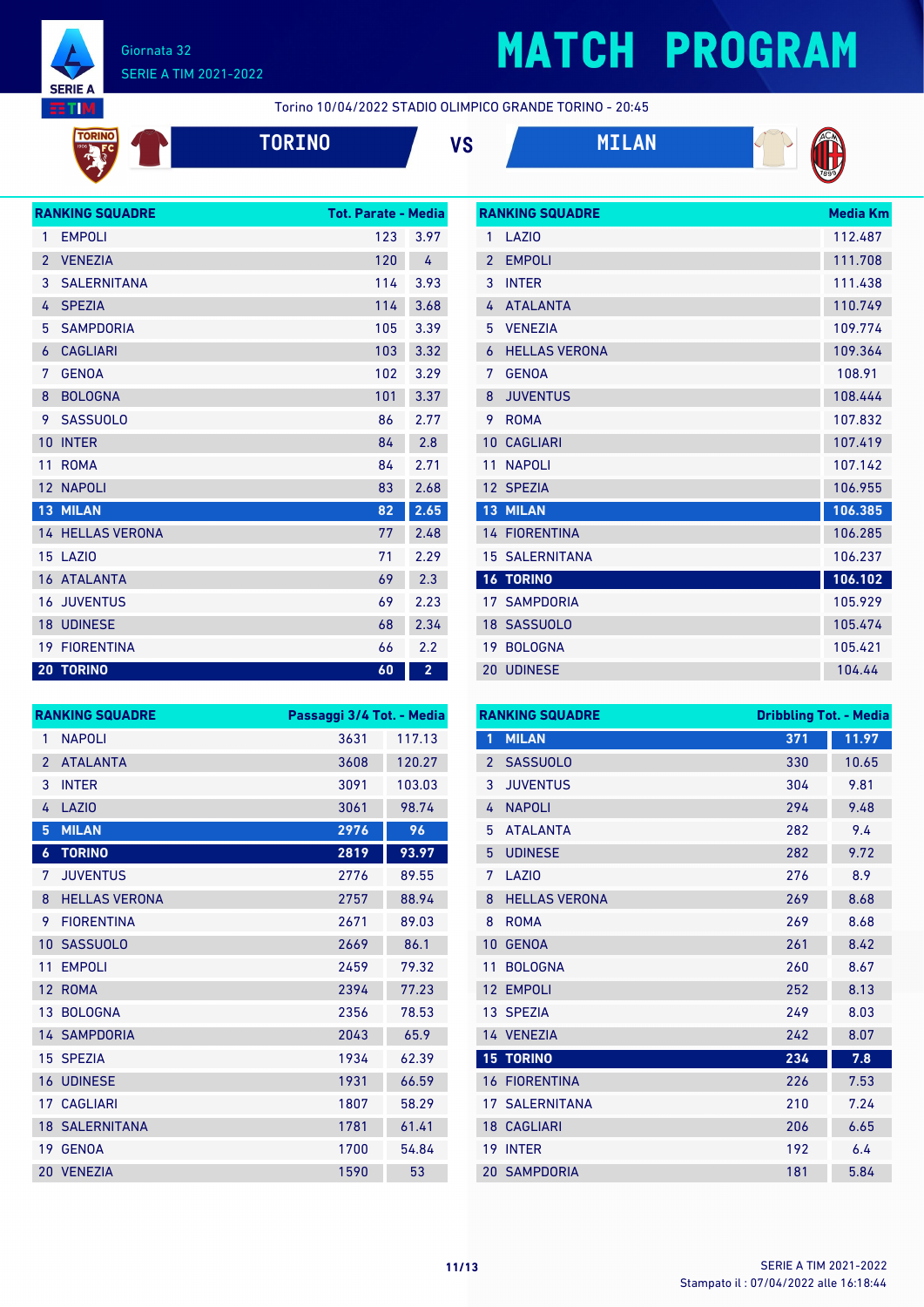

TORINO  $rac{1}{2}$ 

### Giornata 32 SERIE A TIM 2021-2022

# **MATCH PROGRAM**

Torino 10/04/2022 STADIO OLIMPICO GRANDE TORINO - 20:45







**RANKING SQUADRE Media Km** 



|                | <b>RANKING SQUADRE</b>  | <b>Tot. Parate - Media</b> |                         |
|----------------|-------------------------|----------------------------|-------------------------|
| 1              | <b>EMPOLI</b>           | 123                        | 3.97                    |
| $\overline{2}$ | <b>VENEZIA</b>          | 120                        | 4                       |
| 3              | <b>SALERNITANA</b>      | 114                        | 3.93                    |
| 4              | <b>SPEZIA</b>           | 114                        | 3.68                    |
| 5              | <b>SAMPDORIA</b>        | 105                        | 3.39                    |
| 6              | <b>CAGLIARI</b>         | 103                        | 3.32                    |
| 7              | <b>GENOA</b>            | 102                        | 3.29                    |
| 8              | <b>BOLOGNA</b>          | 101                        | 3.37                    |
| 9              | <b>SASSUOLO</b>         | 86                         | 2.77                    |
| 10             | <b>INTER</b>            | 84                         | 2.8                     |
| 11             | <b>ROMA</b>             | 84                         | 2.71                    |
| 12             | <b>NAPOLI</b>           | 83                         | 2.68                    |
| 13             | <b>MILAN</b>            | 82                         | 2.65                    |
|                | <b>14 HELLAS VERONA</b> | 77                         | 2.48                    |
|                | 15 LAZIO                | 71                         | 2.29                    |
|                | 16 ATALANTA             | 69                         | 2.3                     |
| 16             | <b>JUVENTUS</b>         | 69                         | 2.23                    |
| 18             | <b>UDINESE</b>          | 68                         | 2.34                    |
| 19             | <b>FIORENTINA</b>       | 66                         | 2.2                     |
|                | <b>20 TORINO</b>        | 60                         | $\overline{\mathbf{2}}$ |

| 1              | LAZIO                 | 112.487 |
|----------------|-----------------------|---------|
| $\overline{2}$ | <b>EMPOLI</b>         | 111.708 |
| 3              | <b>INTER</b>          | 111.438 |
| 4              | <b>ATALANTA</b>       | 110.749 |
| 5              | <b>VENEZIA</b>        | 109.774 |
| 6              | <b>HELLAS VERONA</b>  | 109.364 |
| 7              | <b>GENOA</b>          | 108.91  |
| 8              | <b>JUVENTUS</b>       | 108.444 |
| 9              | <b>ROMA</b>           | 107.832 |
| 10             | <b>CAGLIARI</b>       | 107.419 |
| 11             | <b>NAPOLI</b>         | 107.142 |
|                | 12 SPEZIA             | 106.955 |
| 13             | <b>MILAN</b>          | 106.385 |
|                | <b>14 FIORENTINA</b>  | 106.285 |
|                | <b>15 SALERNITANA</b> | 106.237 |
|                | <b>16 TORINO</b>      | 106.102 |
|                | <b>17 SAMPDORIA</b>   | 105.929 |
|                | 18 SASSUOLO           | 105.474 |
| 19             | <b>BOLOGNA</b>        | 105.421 |
| $20-1$         | <b>UDINESE</b>        | 104.44  |

| <b>RANKING SQUADRE</b><br>Passaggi 3/4 Tot. - Media |                       |      |        |
|-----------------------------------------------------|-----------------------|------|--------|
| 1                                                   | <b>NAPOLI</b>         | 3631 | 117.13 |
| $\overline{2}$                                      | <b>ATALANTA</b>       | 3608 | 120.27 |
| 3                                                   | <b>INTER</b>          | 3091 | 103.03 |
| 4                                                   | <b>LAZIO</b>          | 3061 | 98.74  |
| 5                                                   | <b>MILAN</b>          | 2976 | 96     |
| $\boldsymbol{6}$                                    | <b>TORINO</b>         | 2819 | 93.97  |
| 7                                                   | <b>JUVENTUS</b>       | 2776 | 89.55  |
| 8                                                   | <b>HELLAS VERONA</b>  | 2757 | 88.94  |
| 9                                                   | <b>FIORENTINA</b>     | 2671 | 89.03  |
| 10                                                  | <b>SASSUOLO</b>       | 2669 | 86.1   |
| 11                                                  | <b>EMPOLI</b>         | 2459 | 79.32  |
| 12                                                  | <b>ROMA</b>           | 2394 | 77.23  |
| 13                                                  | <b>BOLOGNA</b>        | 2356 | 78.53  |
|                                                     | <b>14 SAMPDORIA</b>   | 2043 | 65.9   |
|                                                     | 15 SPEZIA             | 1934 | 62.39  |
|                                                     | <b>16 UDINESE</b>     | 1931 | 66.59  |
| 17                                                  | <b>CAGLIARI</b>       | 1807 | 58.29  |
|                                                     | <b>18 SALERNITANA</b> | 1781 | 61.41  |
| 19                                                  | <b>GENOA</b>          | 1700 | 54.84  |
|                                                     | 20 VENEZIA            | 1590 | 53     |

| <b>RANKING SQUADRE</b> |                      | <b>Dribbling Tot. - Media</b> |       |
|------------------------|----------------------|-------------------------------|-------|
| 1                      | <b>MILAN</b>         | 371                           | 11.97 |
| $\overline{2}$         | <b>SASSUOLO</b>      | 330                           | 10.65 |
| 3                      | <b>JUVENTUS</b>      | 304                           | 9.81  |
| 4                      | <b>NAPOLI</b>        | 294                           | 9.48  |
| 5                      | <b>ATALANTA</b>      | 282                           | 9.4   |
| 5                      | <b>UDINESE</b>       | 282                           | 9.72  |
| 7                      | LAZI <sub>0</sub>    | 276                           | 8.9   |
| 8                      | <b>HELLAS VERONA</b> | 269                           | 8.68  |
| 8                      | <b>ROMA</b>          | 269                           | 8.68  |
| 10                     | <b>GENOA</b>         | 261                           | 8.42  |
| 11                     | <b>BOLOGNA</b>       | 260                           | 8.67  |
| 12                     | <b>EMPOLI</b>        | 252                           | 8.13  |
| 13 <sup>°</sup>        | <b>SPEZIA</b>        | 249                           | 8.03  |
|                        | 14 VENEZIA           | 242                           | 8.07  |
|                        | <b>15 TORINO</b>     | 234                           | 7.8   |
| 16                     | <b>FIORENTINA</b>    | 226                           | 7.53  |
| 17                     | <b>SALERNITANA</b>   | 210                           | 7.24  |
| 18                     | <b>CAGLIARI</b>      | 206                           | 6.65  |
| 19                     | <b>INTER</b>         | 192                           | 6.4   |
|                        | <b>20 SAMPDORIA</b>  | 181                           | 5.84  |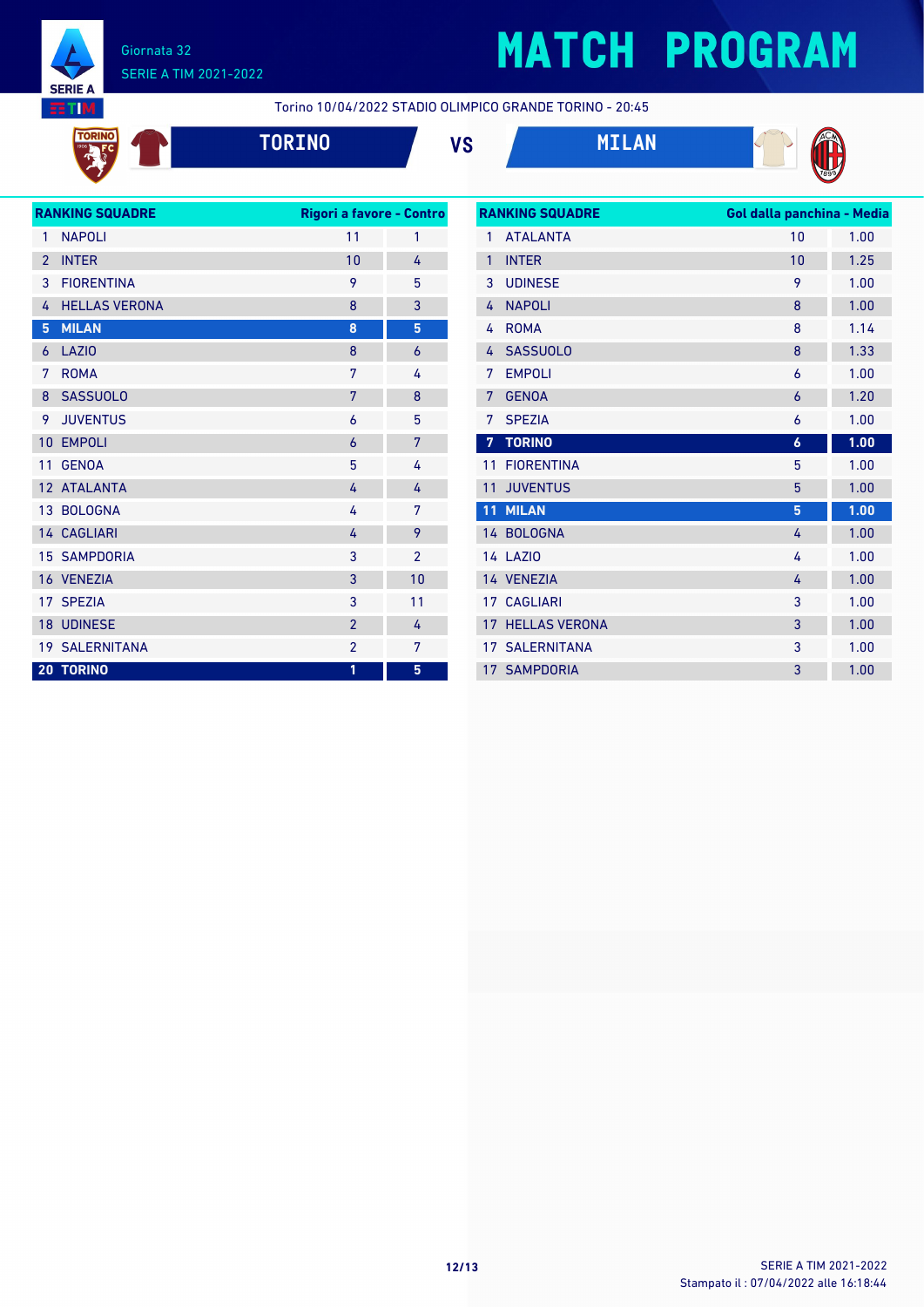

# **MATCH PROGRAM**

Torino 10/04/2022 STADIO OLIMPICO GRANDE TORINO - 20:45









| <b>RANKING SQUADRE</b><br>Rigori a favore - Contro |                       |                |                |
|----------------------------------------------------|-----------------------|----------------|----------------|
| $\mathbf{1}$                                       | <b>NAPOLI</b>         | 11             | 1              |
| $\overline{2}$                                     | <b>INTER</b>          | 10             | 4              |
| 3                                                  | <b>FIORENTINA</b>     | 9              | 5              |
| 4                                                  | <b>HELLAS VERONA</b>  | 8              | 3              |
| 5                                                  | <b>MILAN</b>          | 8              | 5              |
| 6                                                  | <b>LAZIO</b>          | 8              | $\overline{6}$ |
| 7                                                  | <b>ROMA</b>           | 7              | 4              |
| 8                                                  | <b>SASSUOLO</b>       | 7              | 8              |
| 9                                                  | <b>JUVENTUS</b>       | 6              | 5              |
| 10                                                 | <b>EMPOLI</b>         | 6              | 7              |
| 11                                                 | <b>GENOA</b>          | 5              | 4              |
|                                                    | 12 ATALANTA           | 4              | 4              |
|                                                    | 13 BOLOGNA            | 4              | 7              |
|                                                    | 14 CAGLIARI           | 4              | 9              |
|                                                    | <b>15 SAMPDORIA</b>   | 3              | $\overline{2}$ |
|                                                    | 16 VENEZIA            | 3              | 10             |
|                                                    | 17 SPEZIA             | 3              | 11             |
|                                                    | <b>18 UDINESE</b>     | $\overline{2}$ | 4              |
|                                                    | <b>19 SALERNITANA</b> | $\overline{2}$ | 7              |
| 20                                                 | <b>TORINO</b>         | 1              | 5              |
|                                                    |                       |                |                |

|    | <b>RANKING SQUADRE</b> | Gol dalla panchina - Media |      |
|----|------------------------|----------------------------|------|
| 1  | <b>ATALANTA</b>        | 10                         | 1.00 |
| 1  | <b>INTER</b>           | 10                         | 1.25 |
| 3  | <b>UDINESE</b>         | 9                          | 1.00 |
| 4  | <b>NAPOLI</b>          | 8                          | 1.00 |
| 4  | <b>ROMA</b>            | 8                          | 1.14 |
| 4  | <b>SASSUOLO</b>        | 8                          | 1.33 |
| 7  | <b>EMPOLI</b>          | 6                          | 1.00 |
| 7  | <b>GENOA</b>           | 6                          | 1.20 |
| 7  | <b>SPEZIA</b>          | 6                          | 1.00 |
| 7  | <b>TORINO</b>          | $\boldsymbol{6}$           | 1.00 |
| 11 | <b>FIORENTINA</b>      | 5                          | 1.00 |
| 11 | <b>JUVENTUS</b>        | 5                          | 1.00 |
| 11 | <b>MILAN</b>           | 5                          | 1.00 |
|    | 14 BOLOGNA             | 4                          | 1.00 |
|    | <b>14 LAZIO</b>        | 4                          | 1.00 |
|    | 14 VENEZIA             | 4                          | 1.00 |
|    | 17 CAGLIARI            | 3                          | 1.00 |
| 17 | <b>HELLAS VERONA</b>   | 3                          | 1.00 |
|    | <b>17 SALERNITANA</b>  | 3                          | 1.00 |
|    | <b>17 SAMPDORIA</b>    | 3                          | 1.00 |